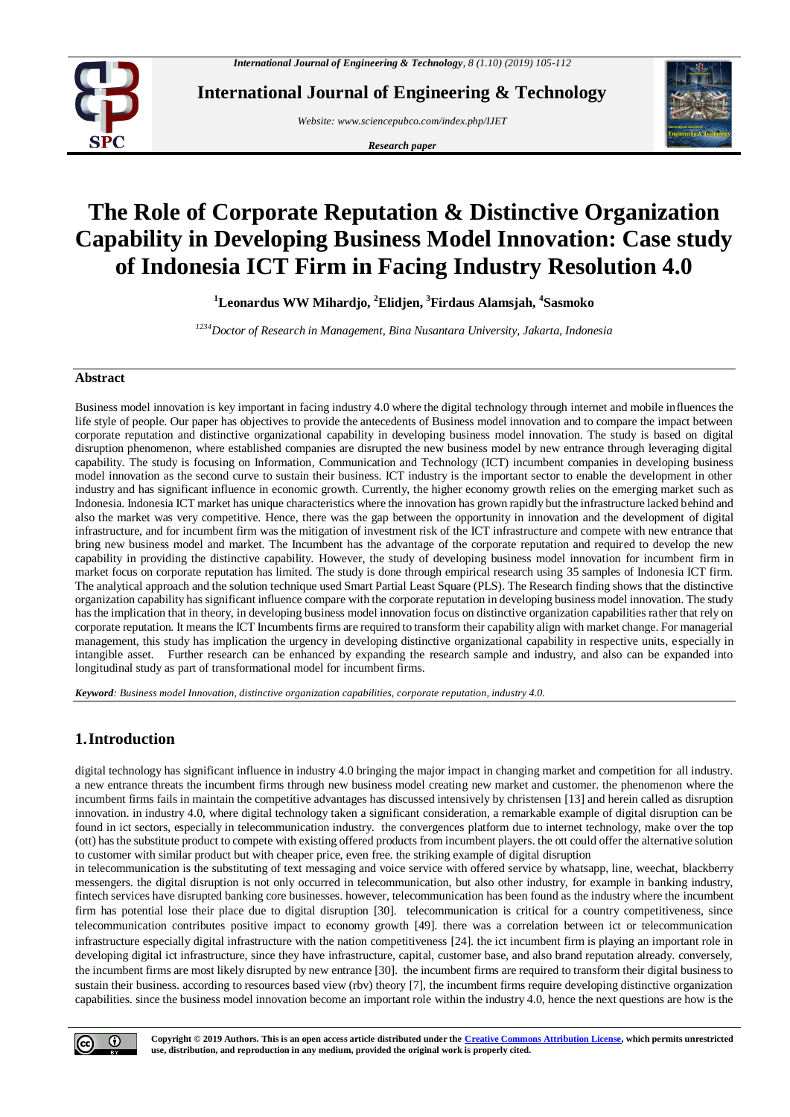

**International Journal of Engineering & Technology**

*Website[: www.sciencepubco.com/index.php/IJET](http://www.sciencepubco.com/index.php/IJET)*

*Research paper*



# **The Role of Corporate Reputation & Distinctive Organization Capability in Developing Business Model Innovation: Case study of Indonesia ICT Firm in Facing Industry Resolution 4.0**

**<sup>1</sup>Leonardus WW Mihardjo, <sup>2</sup>Elidjen, <sup>3</sup>Firdaus Alamsjah, <sup>4</sup> Sasmoko**

*<sup>1234</sup>Doctor of Research in Management, Bina Nusantara University, Jakarta, Indonesia*

## **Abstract**

Business model innovation is key important in facing industry 4.0 where the digital technology through internet and mobile influences the life style of people. Our paper has objectives to provide the antecedents of Business model innovation and to compare the impact between corporate reputation and distinctive organizational capability in developing business model innovation. The study is based on digital disruption phenomenon, where established companies are disrupted the new business model by new entrance through leveraging digital capability. The study is focusing on Information, Communication and Technology (ICT) incumbent companies in developing business model innovation as the second curve to sustain their business. ICT industry is the important sector to enable the development in other industry and has significant influence in economic growth. Currently, the higher economy growth relies on the emerging market such as Indonesia. Indonesia ICT market has unique characteristics where the innovation has grown rapidly but the infrastructure lacked behind and also the market was very competitive. Hence, there was the gap between the opportunity in innovation and the development of digital infrastructure, and for incumbent firm was the mitigation of investment risk of the ICT infrastructure and compete with new entrance that bring new business model and market. The Incumbent has the advantage of the corporate reputation and required to develop the new capability in providing the distinctive capability. However, the study of developing business model innovation for incumbent firm in market focus on corporate reputation has limited. The study is done through empirical research using 35 samples of Indonesia ICT firm. The analytical approach and the solution technique used Smart Partial Least Square (PLS). The Research finding shows that the distinctive organization capability has significant influence compare with the corporate reputation in developing business model innovation. The study has the implication that in theory, in developing business model innovation focus on distinctive organization capabilities rather that rely on corporate reputation. It means the ICT Incumbents firms are required to transform their capability align with market change. For managerial management, this study has implication the urgency in developing distinctive organizational capability in respective units, especially in intangible asset. Further research can be enhanced by expanding the research sample and industry, and also can be expanded into longitudinal study as part of transformational model for incumbent firms.

*Keyword: Business model Innovation, distinctive organization capabilities, corporate reputation, industry 4.0.*

## **1.Introduction**

digital technology has significant influence in industry 4.0 bringing the major impact in changing market and competition for all industry. a new entrance threats the incumbent firms through new business model creating new market and customer. the phenomenon where the incumbent firms fails in maintain the competitive advantages has discussed intensively by christense[n \[13\]](#page-7-0) and herein called as disruption innovation. in industry 4.0, where digital technology taken a significant consideration, a remarkable example of digital disruption can be found in ict sectors, especially in telecommunication industry. the convergences platform due to internet technology, make over the top (ott) has the substitute product to compete with existing offered products from incumbent players. the ott could offer the alternative solution to customer with similar product but with cheaper price, even free. the striking example of digital disruption

in telecommunication is the substituting of text messaging and voice service with offered service by whatsapp, line, weechat, blackberry messengers. the digital disruption is not only occurred in telecommunication, but also other industry, for example in banking industry, fintech services have disrupted banking core businesses. however, telecommunication has been found as the industry where the incumbent firm has potential lose their place due to digital disruption [\[30\].](#page-7-1) telecommunication is critical for a country competitiveness, since telecommunication contributes positive impact to economy growth [\[49\].](#page-8-0) there was a correlation between ict or telecommunication infrastructure especially digital infrastructure with the nation competitiveness [\[24\].](#page-7-2) the ict incumbent firm is playing an important role in developing digital ict infrastructure, since they have infrastructure, capital, customer base, and also brand reputation already. conversely, the incumbent firms are most likely disrupted by new entranc[e \[30\].](#page-7-1) the incumbent firms are required to transform their digital business to sustain their business. according to resources based view (rbv) theory [\[7\],](#page-7-3) the incumbent firms require developing distinctive organization capabilities. since the business model innovation become an important role within the industry 4.0, hence the next questions are how is the

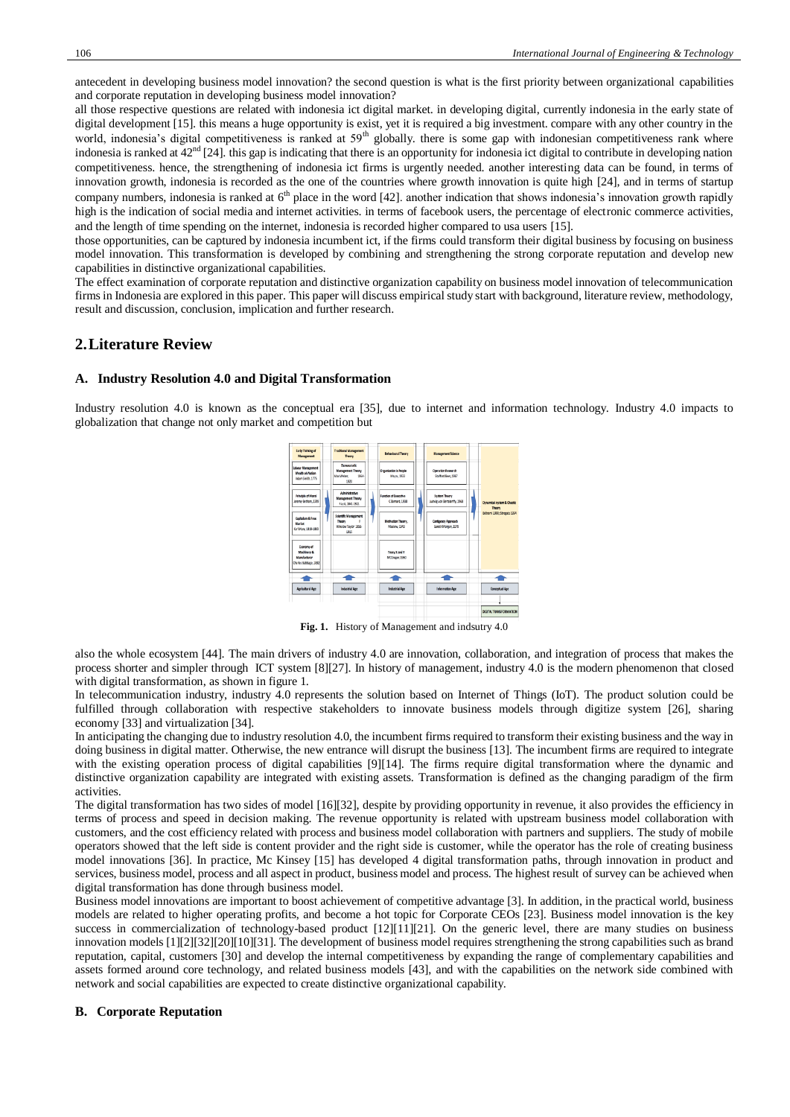antecedent in developing business model innovation? the second question is what is the first priority between organizational capabilities and corporate reputation in developing business model innovation?

all those respective questions are related with indonesia ict digital market. in developing digital, currently indonesia in the early state of digital developmen[t \[15\].](#page-7-4) this means a huge opportunity is exist, yet it is required a big investment. compare with any other country in the world, indonesia's digital competitiveness is ranked at 59<sup>th</sup> globally. there is some gap with indonesian competitiveness rank where indonesia is ranked at  $42<sup>nd</sup>$  [\[24\].](#page-7-2) this gap is indicating that there is an opportunity for indonesia ict digital to contribute in developing nation competitiveness. hence, the strengthening of indonesia ict firms is urgently needed. another interesting data can be found, in terms of innovation growth, indonesia is recorded as the one of the countries where growth innovation is quite high [\[24\],](#page-7-2) and in terms of startup company numbers, indonesia is ranked at  $6<sup>th</sup>$  place in the word [\[42\].](#page-8-1) another indication that shows indonesia's innovation growth rapidly high is the indication of social media and internet activities. in terms of facebook users, the percentage of electronic commerce activities, and the length of time spending on the internet, indonesia is recorded higher compared to usa users [\[15\].](#page-7-4)

those opportunities, can be captured by indonesia incumbent ict, if the firms could transform their digital business by focusing on business model innovation. This transformation is developed by combining and strengthening the strong corporate reputation and develop new capabilities in distinctive organizational capabilities.

The effect examination of corporate reputation and distinctive organization capability on business model innovation of telecommunication firms in Indonesia are explored in this paper. This paper will discuss empirical study start with background, literature review, methodology, result and discussion, conclusion, implication and further research.

## **2.Literature Review**

#### **A. Industry Resolution 4.0 and Digital Transformation**

Industry resolution 4.0 is known as the conceptual era [\[35\],](#page-7-5) due to internet and information technology. Industry 4.0 impacts to globalization that change not only market and competition but



**Fig. 1.** History of Management and indsutry 4.0

also the whole ecosystem [\[44\].](#page-8-2) The main drivers of industry 4.0 are innovation, collaboration, and integration of process that makes the process shorter and simpler through ICT system [\[8\]\[27\].](#page-7-6) In history of management, industry 4.0 is the modern phenomenon that closed with digital transformation, as shown in figure 1.

In telecommunication industry, industry 4.0 represents the solution based on Internet of Things (IoT). The product solution could be fulfilled through collaboration with respective stakeholders to innovate business models through digitize system [\[26\],](#page-7-7) sharing economy [\[33\]](#page-7-8) and virtualization [\[34\].](#page-7-9) 

In anticipating the changing due to industry resolution 4.0, the incumbent firms required to transform their existing business and the way in doing business in digital matter. Otherwise, the new entrance will disrupt the business [\[13\].](#page-7-0) The incumbent firms are required to integrate with the existing operation process of digital capabilities [\[9\]\[14\].](#page-7-10) The firms require digital transformation where the dynamic and distinctive organization capability are integrated with existing assets. Transformation is defined as the changing paradigm of the firm activities.

The digital transformation has two sides of model [\[16\]\[32\],](#page-7-11) despite by providing opportunity in revenue, it also provides the efficiency in terms of process and speed in decision making. The revenue opportunity is related with upstream business model collaboration with customers, and the cost efficiency related with process and business model collaboration with partners and suppliers. The study of mobile operators showed that the left side is content provider and the right side is customer, while the operator has the role of creating business model innovations [\[36\].](#page-7-12) In practice, Mc Kinsey [\[15\]](#page-7-4) has developed 4 digital transformation paths, through innovation in product and services, business model, process and all aspect in product, business model and process. The highest result of survey can be achieved when digital transformation has done through business model.

Business model innovations are important to boost achievement of competitive advantag[e \[3\].](#page-7-13) In addition, in the practical world, business models are related to higher operating profits, and become a hot topic for Corporate CEOs [\[23\].](#page-7-14) Business model innovation is the key success in commercialization of technology-based product [\[12\]\[11\]](#page-7-15)[\[21\].](#page-7-16) On the generic level, there are many studies on business innovation model[s \[1\]\[2\]](#page-7-17)[\[32\]\[20\]](#page-7-18)[\[10\]\[31\].](#page-7-19) The development of business model requires strengthening the strong capabilities such as brand reputation, capital, customers [\[30\]](#page-7-1) and develop the internal competitiveness by expanding the range of complementary capabilities and assets formed around core technology, and related business models [\[43\],](#page-8-3) and with the capabilities on the network side combined with network and social capabilities are expected to create distinctive organizational capability.

## **B. Corporate Reputation**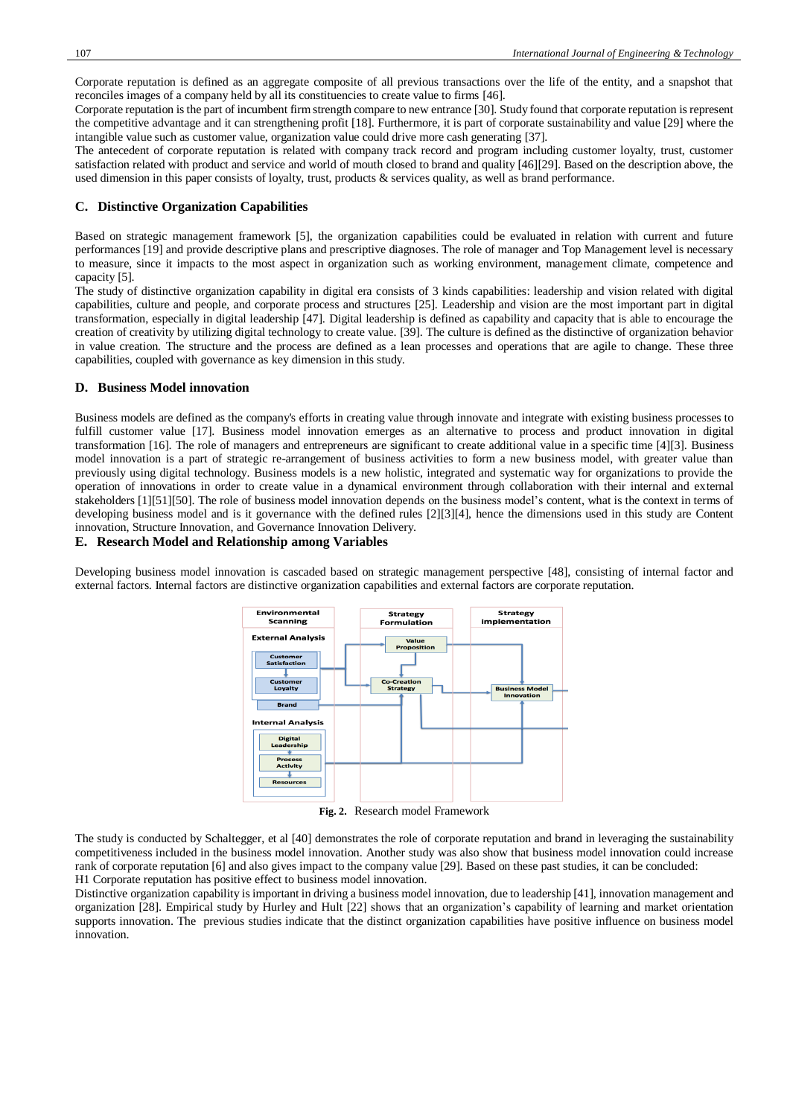Corporate reputation is defined as an aggregate composite of all previous transactions over the life of the entity, and a snapshot that reconciles images of a company held by all its constituencies to create value to firms [\[46\].](#page-8-4)

Corporate reputation is the part of incumbent firm strength compare to new entrance [\[30\].](#page-7-1) Study found that corporate reputation is represent the competitive advantage and it can strengthening profit [\[18\].](#page-7-20) Furthermore, it is part of corporate sustainability and value [\[29\]](#page-7-21) where the intangible value such as customer value, organization value could drive more cash generating [\[37\].](#page-7-22) 

The antecedent of corporate reputation is related with company track record and program including customer loyalty, trust, customer satisfaction related with product and service and world of mouth closed to brand and quality [\[46\]\[29\].](#page-8-4) Based on the description above, the used dimension in this paper consists of loyalty, trust, products & services quality, as well as brand performance.

## **C. Distinctive Organization Capabilities**

Based on strategic management framework [\[5\],](#page-7-23) the organization capabilities could be evaluated in relation with current and future performances [\[19\]](#page-7-24) and provide descriptive plans and prescriptive diagnoses. The role of manager and Top Management level is necessary to measure, since it impacts to the most aspect in organization such as working environment, management climate, competence and capacity [\[5\].](#page-7-23)

The study of distinctive organization capability in digital era consists of 3 kinds capabilities: leadership and vision related with digital capabilities, culture and people, and corporate process and structures [\[25\].](#page-7-25) Leadership and vision are the most important part in digital transformation, especially in digital leadership [\[47\].](#page-8-5) Digital leadership is defined as capability and capacity that is able to encourage the creation of creativity by utilizing digital technology to create value. [\[39\].](#page-7-26) The culture is defined as the distinctive of organization behavior in value creation. The structure and the process are defined as a lean processes and operations that are agile to change. These three capabilities, coupled with governance as key dimension in this study.

#### **D. Business Model innovation**

Business models are defined as the company's efforts in creating value through innovate and integrate with existing business processes to fulfill customer value [\[17\].](#page-7-27) Business model innovation emerges as an alternative to process and product innovation in digital transformation [\[16\].](#page-7-11) The role of managers and entrepreneurs are significant to create additional value in a specific time [\[4\]\[3\].](#page-7-28) Business model innovation is a part of strategic re-arrangement of business activities to form a new business model, with greater value than previously using digital technology. Business models is a new holistic, integrated and systematic way for organizations to provide the operation of innovations in order to create value in a dynamical environment through collaboration with their internal and external stakeholders [\[1\]\[51\]](#page-7-17)[\[50\].](#page-8-6) The role of business model innovation depends on the business model's content, what is the context in terms of developing business model and is it governance with the defined rules [\[2\]\[3\]](#page-7-29)[\[4\],](#page-7-28) hence the dimensions used in this study are Content innovation, Structure Innovation, and Governance Innovation Delivery.

#### **E. Research Model and Relationship among Variables**

Developing business model innovation is cascaded based on strategic management perspective [\[48\],](#page-8-7) consisting of internal factor and external factors. Internal factors are distinctive organization capabilities and external factors are corporate reputation.



**Fig. 2.** Research model Framework

The study is conducted by Schaltegger, et al [\[40\]](#page-8-8) demonstrates the role of corporate reputation and brand in leveraging the sustainability competitiveness included in the business model innovation. Another study was also show that business model innovation could increase rank of corporate reputatio[n \[6\]](#page-7-30) and also gives impact to the company value [\[29\].](#page-7-21) Based on these past studies, it can be concluded: H1 Corporate reputation has positive effect to business model innovation.

Distinctive organization capability is important in driving a business model innovation, due to leadershi[p \[41\],](#page-8-9) innovation management and organization [\[28\].](#page-7-31) Empirical study by Hurley and Hult [\[22\]](#page-7-32) shows that an organization's capability of learning and market orientation supports innovation. The previous studies indicate that the distinct organization capabilities have positive influence on business model innovation.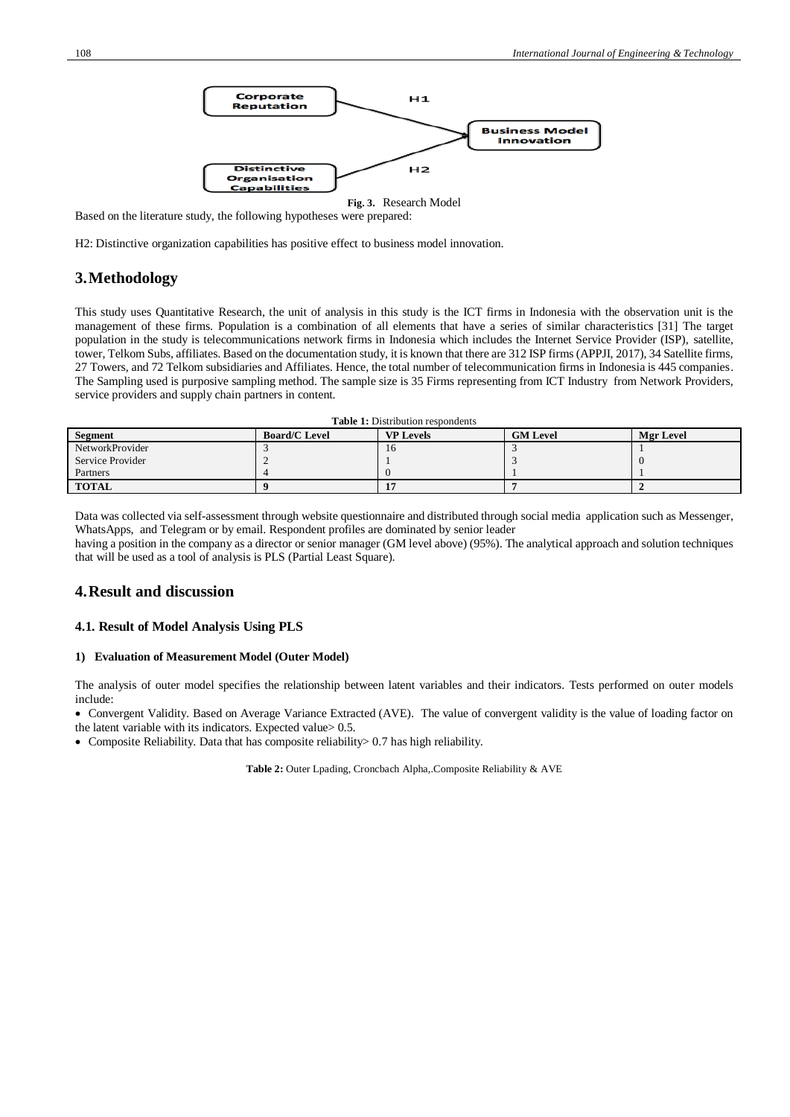

Based on the literature study, the following hypotheses were prepared:

H2: Distinctive organization capabilities has positive effect to business model innovation.

## **3.Methodology**

This study uses Quantitative Research, the unit of analysis in this study is the ICT firms in Indonesia with the observation unit is the management of these firms. Population is a combination of all elements that have a series of similar characteristics [\[31\]](#page-7-33) The target population in the study is telecommunications network firms in Indonesia which includes the Internet Service Provider (ISP), satellite, tower, Telkom Subs, affiliates. Based on the documentation study, it is known that there are 312 ISP firms (APPJI, 2017), 34 Satellite firms, 27 Towers, and 72 Telkom subsidiaries and Affiliates. Hence, the total number of telecommunication firms in Indonesia is 445 companies. The Sampling used is purposive sampling method. The sample size is 35 Firms representing from ICT Industry from Network Providers, service providers and supply chain partners in content.

**Table 1:** Distribution respondents

| Segment          | <b>Board/C Level</b> | <b>VP Levels</b> | <b>GM Level</b> | <b>Mgr Level</b> |
|------------------|----------------------|------------------|-----------------|------------------|
| NetworkProvider  |                      | 10               |                 |                  |
| Service Provider |                      |                  |                 |                  |
| Partners         |                      |                  |                 |                  |
| <b>TOTAL</b>     |                      |                  |                 |                  |

Data was collected via self-assessment through website questionnaire and distributed through social media application such as Messenger, WhatsApps, and Telegram or by email. Respondent profiles are dominated by senior leader

having a position in the company as a director or senior manager (GM level above) (95%). The analytical approach and solution techniques that will be used as a tool of analysis is PLS (Partial Least Square).

## **4.Result and discussion**

#### **4.1. Result of Model Analysis Using PLS**

#### **1) Evaluation of Measurement Model (Outer Model)**

The analysis of outer model specifies the relationship between latent variables and their indicators. Tests performed on outer models include:

• Convergent Validity. Based on Average Variance Extracted (AVE). The value of convergent validity is the value of loading factor on the latent variable with its indicators. Expected value> 0.5.

• Composite Reliability. Data that has composite reliability > 0.7 has high reliability.

**Table 2:** Outer Lpading, Croncbach Alpha,.Composite Reliability & AVE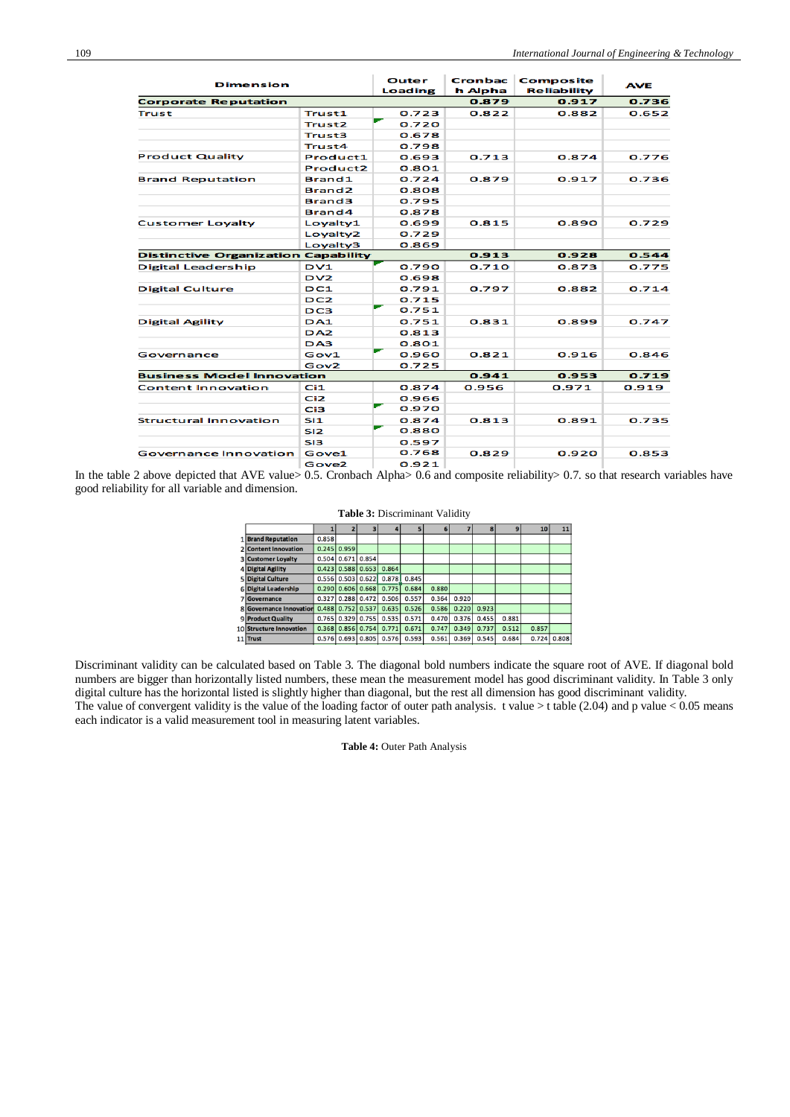| <b>Dimension</b>                           |                      | Outer<br><b>Loading</b> | <b>Cronbac</b><br>h Alpha | Composite<br><b>Reliability</b> | <b>AVE</b> |  |
|--------------------------------------------|----------------------|-------------------------|---------------------------|---------------------------------|------------|--|
| <b>Corporate Reputation</b>                |                      |                         | 0.879                     | 0.917                           | 0.736      |  |
| <b>Trust</b>                               | Trust1               | 0.723                   | 0.822                     | 0.882                           | 0.652      |  |
|                                            | <b>Trust2</b>        | 0.720                   |                           |                                 |            |  |
|                                            | <b>Trust3</b>        | 0.678                   |                           |                                 |            |  |
|                                            | <b>Trust4</b>        | 0.798                   |                           |                                 |            |  |
| <b>Product Quality</b>                     | Product1             | 0.693                   | 0.713                     | 0.874                           | 0.776      |  |
|                                            | Product <sub>2</sub> | 0.801                   |                           |                                 |            |  |
| <b>Brand Reputation</b>                    | Brand1               | 0.724                   | 0.879                     | 0.917                           | 0.736      |  |
|                                            | Brand <sub>2</sub>   | 0.808                   |                           |                                 |            |  |
|                                            | <b>Brand3</b>        | 0.795                   |                           |                                 |            |  |
|                                            | Brand4               | 0.878                   |                           |                                 |            |  |
| <b>Customer Loyalty</b>                    | Loyalty1             | 0.699                   | 0.815                     | 0.890                           | 0.729      |  |
|                                            | Loyalty2             | 0.729                   |                           |                                 |            |  |
|                                            | Loyalty3             | 0.869                   |                           |                                 |            |  |
| <b>Distinctive Organization Capability</b> |                      |                         | 0.913                     | 0.928                           | 0.544      |  |
| Digital Leadership                         | DVI                  | 0.790                   | 0.710                     | 0.873                           | 0.775      |  |
|                                            | DVI2                 | 0.698                   |                           |                                 |            |  |
| <b>Digital Culture</b>                     | DC1                  | 0.791                   | 0.797                     | 0.882                           | 0.714      |  |
|                                            | DC <sub>2</sub>      | 0.715                   |                           |                                 |            |  |
|                                            | DC3                  | 0.751                   |                           |                                 |            |  |
| <b>Digital Agility</b>                     | <b>DA1</b>           | 0.751                   | 0.831                     | 0.899                           | 0.747      |  |
|                                            | DA <sub>2</sub>      | 0.813                   |                           |                                 |            |  |
|                                            | DA3                  | 0.801                   |                           |                                 |            |  |
| Governance                                 | Gov1                 | 0.960                   | 0.821                     | 0.916                           | 0.846      |  |
|                                            | Gov2                 | 0.725                   |                           |                                 |            |  |
| <b>Business Model Innovation</b>           |                      |                         | 0.941                     | 0.953                           | 0.719      |  |
| <b>Content Innovation</b>                  | C <sub>i1</sub>      | 0.874                   | 0.956                     | 0.971                           | 0.919      |  |
|                                            | C <sub>i2</sub>      | 0.966                   |                           |                                 |            |  |
|                                            | Ci3                  | 0.970                   |                           |                                 |            |  |
| <b>Structural Innovation</b>               | SI1                  | 0.874                   | 0.813                     | 0.891                           | 0.735      |  |
|                                            | SI <sub>2</sub>      | 0.880                   |                           |                                 |            |  |
|                                            | S <sub>13</sub>      | 0.597                   |                           |                                 |            |  |
| <b>Governance Innovation</b>               | Gove1                | 0.768                   | 0.829                     | 0.920                           | 0.853      |  |
|                                            | Gove <sub>2</sub>    | 0.921                   |                           |                                 |            |  |

In the table 2 above depicted that AVE value> 0.5. Cronbach Alpha> 0.6 and composite reliability> 0.7. so that research variables have good reliability for all variable and dimension.

| <b>Table 3: Discriminant Validity</b> |        |                   |       |       |       |       |       |       |       |       |       |
|---------------------------------------|--------|-------------------|-------|-------|-------|-------|-------|-------|-------|-------|-------|
|                                       |        |                   |       |       | 5     |       |       | 8     | g     | 10    | 11    |
| 1 Brand Reputation                    | 0.858  |                   |       |       |       |       |       |       |       |       |       |
| 2 Content Innovation                  | 0.245  | 0.959             |       |       |       |       |       |       |       |       |       |
| <b>3 Customer Loyalty</b>             | 0.504  | 0.671             | 0.854 |       |       |       |       |       |       |       |       |
| 4 Digital Agility                     |        | $0.423$ 0.588     | 0.653 | 0.864 |       |       |       |       |       |       |       |
| 5 Digital Culture                     |        | $0.556$   $0.503$ | 0.622 | 0.878 | 0.845 |       |       |       |       |       |       |
| 6 Digital Leadership                  | 0.2901 | 0.606             | 0.668 | 0.775 | 0.684 | 0.880 |       |       |       |       |       |
| 7 Governance                          | 0.327  | 0.288             | 0.472 | 0.506 | 0.557 | 0.364 | 0.920 |       |       |       |       |
| 8 Governance Innovation               |        | $0.488$ 0.752     | 0.537 | 0.635 | 0.526 | 0.586 | 0.220 | 0.923 |       |       |       |
| 9 Product Quality                     | 0.765  | 0.329             | 0.755 | 0.535 | 0.571 | 0.470 | 0.376 | 0.455 | 0.881 |       |       |
| 0 Structure Innovation                | 0.368  | 0.856             | 0.754 | 0.771 | 0.671 | 0.747 | 0.349 | 0.737 | 0.512 | 0.857 |       |
| 1 Trust                               | 0.576  | 0.693             | 0.805 | 0.576 | 0.593 | 0.561 | 0.369 | 0.545 | 0.684 | 0.724 | 0.808 |

Discriminant validity can be calculated based on Table 3. The diagonal bold numbers indicate the square root of AVE. If diagonal bold numbers are bigger than horizontally listed numbers, these mean the measurement model has good discriminant validity. In Table 3 only digital culture has the horizontal listed is slightly higher than diagonal, but the rest all dimension has good discriminant validity. The value of convergent validity is the value of the loading factor of outer path analysis. t value  $>$  t table (2.04) and p value  $<$  0.05 means each indicator is a valid measurement tool in measuring latent variables.

**Table 4:** Outer Path Analysis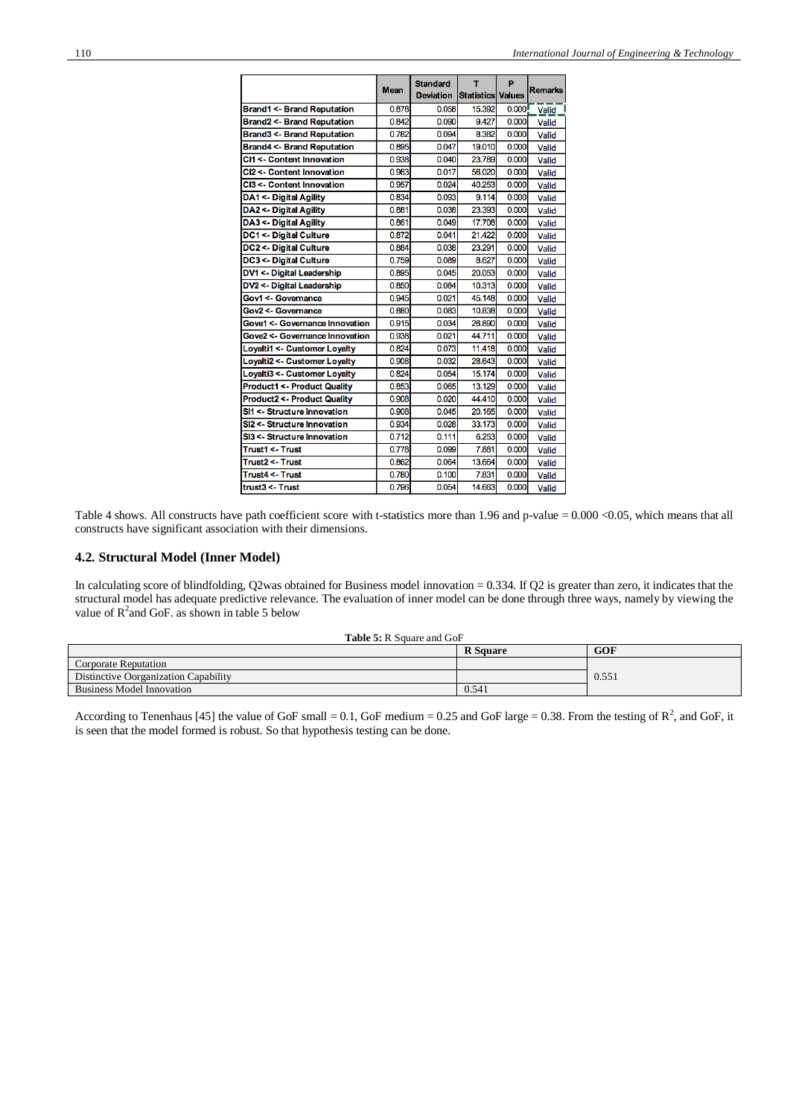|                                        | <b>Mean</b> | <b>Standard</b>  | т                        | P     | <b>Remarks</b> |
|----------------------------------------|-------------|------------------|--------------------------|-------|----------------|
|                                        |             | <b>Deviation</b> | <b>Statistics Values</b> |       |                |
| <b>Brand1 &lt;- Brand Reputation</b>   | 0.878       | 0.058            | 15.392                   | 0.000 | <b>Valid</b>   |
| <b>Brand2 &lt;- Brand Reputation</b>   | 0.842       | 0.090            | 9.427                    | 0.000 | Valid          |
| <b>Brand3 &lt;- Brand Reputation</b>   | 0.782       | 0.094            | 8.382                    | 0.000 | Valid          |
| <b>Brand4 &lt;- Brand Reputation</b>   | 0.895       | 0.047            | 19.010                   | 0.000 | Valid          |
| CI1 <- Content Innovation              | 0.938       | 0.040            | 23.789                   | 0.000 | Valid          |
| CI2 <- Content Innovation              | 0.963       | 0.017            | 56.020                   | 0.000 | Valid          |
| CI3 <- Content Innovation              | 0.957       | 0.024            | 40.253                   | 0.000 | Valid          |
| DA1 <- Digital Agility                 | 0.834       | 0.093            | 9.114                    | 0.000 | Valid          |
| DA2 <- Digital Agility                 | 0.881       | 0.038            | 23.393                   | 0.000 | Valid          |
| DA3 <- Digital Agility                 | 0.861       | 0.049            | 17.708                   | 0.000 | Valid          |
| <b>DC1 &lt;- Digital Culture</b>       | 0.872       | 0.041            | 21.422                   | 0.000 | Valid          |
| <b>DC2 &lt;- Digital Culture</b>       | 0.884       | 0.038            | 23.291                   | 0.000 | Valid          |
| <b>DC3 &lt;- Digital Culture</b>       | 0.759       | 0.089            | 8.627                    | 0.000 | Valid          |
| <b>DV1 &lt;- Digital Leadership</b>    | 0.895       | 0.045            | 20.053                   | 0.000 | Valid          |
| DV2 <- Digital Leadership              | 0.850       | 0.084            | 10.313                   | 0.000 | Valid          |
| Gov1 <- Governance                     | 0.945       | 0.021            | 45.148                   | 0.000 | Valid          |
| Gov2 <- Governance                     | 0.880       | 0.083            | 10.838                   | 0.000 | Valid          |
| Gove1 <- Governance Innovation         | 0.915       | 0.034            | 26.890                   | 0.000 | Valid          |
| Gove2 <- Governance Innovation         | 0.938       | 0.021            | 44.711                   | 0.000 | Valid          |
| Loyalti1 <- Customer Loyalty           | 0.824       | 0.073            | 11.418                   | 0.000 | Valid          |
| <b>Loyalti2 &lt;- Customer Loyalty</b> | 0.908       | 0.032            | 28.643                   | 0.000 | Valid          |
| Loyalti3 <- Customer Loyalty           | 0.824       | 0.054            | 15.174                   | 0.000 | Valid          |
| <b>Product1 &lt;- Product Quality</b>  | 0.853       | 0.065            | 13.129                   | 0.000 | Valid          |
| <b>Product2 &lt;- Product Quality</b>  | 0.908       | 0.020            | 44.410                   | 0.000 | Valid          |
| SI1 <- Structure Innovation            | 0.908       | 0.045            | 20.165                   | 0.000 | Valid          |
| SI2 <- Structure Innovation            | 0.934       | 0.028            | 33.173                   | 0.000 | Valid          |
| SI3 <- Structure Innovation            | 0.712       | 0.111            | 6.253                    | 0.000 | Valid          |
| Trust1 <- Trust                        | 0.778       | 0.099            | 7.881                    | 0.000 | Valid          |
| Trust2 <- Trust                        | 0.862       | 0.064            | 13.664                   | 0.000 | Valid          |
| Trust4 <- Trust                        | 0.780       | 0.100            | 7.831                    | 0.000 | Valid          |
| trust3 <- Trust                        | 0.796       | 0.054            | 14.663                   | 0.000 | Valid          |

Table 4 shows. All constructs have path coefficient score with t-statistics more than 1.96 and p-value = 0.000 <0.05, which means that all constructs have significant association with their dimensions.

## **4.2. Structural Model (Inner Model)**

In calculating score of blindfolding, Q2was obtained for Business model innovation = 0.334. If Q2 is greater than zero, it indicates that the structural model has adequate predictive relevance. The evaluation of inner model can be done through three ways, namely by viewing the value of  $R^2$  and GoF. as shown in table 5 below

| <b>Table 5: R Square and GoF</b> |  |  |
|----------------------------------|--|--|
|----------------------------------|--|--|

|                                      | <b>R</b> Square | <b>GOF</b> |
|--------------------------------------|-----------------|------------|
| Corporate Reputation                 |                 |            |
| Distinctive Oorganization Capability |                 | 0.551      |
| Business Model Innovation            | 0.541           |            |

According to Tenenhau[s \[45\]](#page-8-10) the value of GoF small = 0.1, GoF medium = 0.25 and GoF large = 0.38. From the testing of  $\mathbb{R}^2$ , and GoF, it is seen that the model formed is robust. So that hypothesis testing can be done.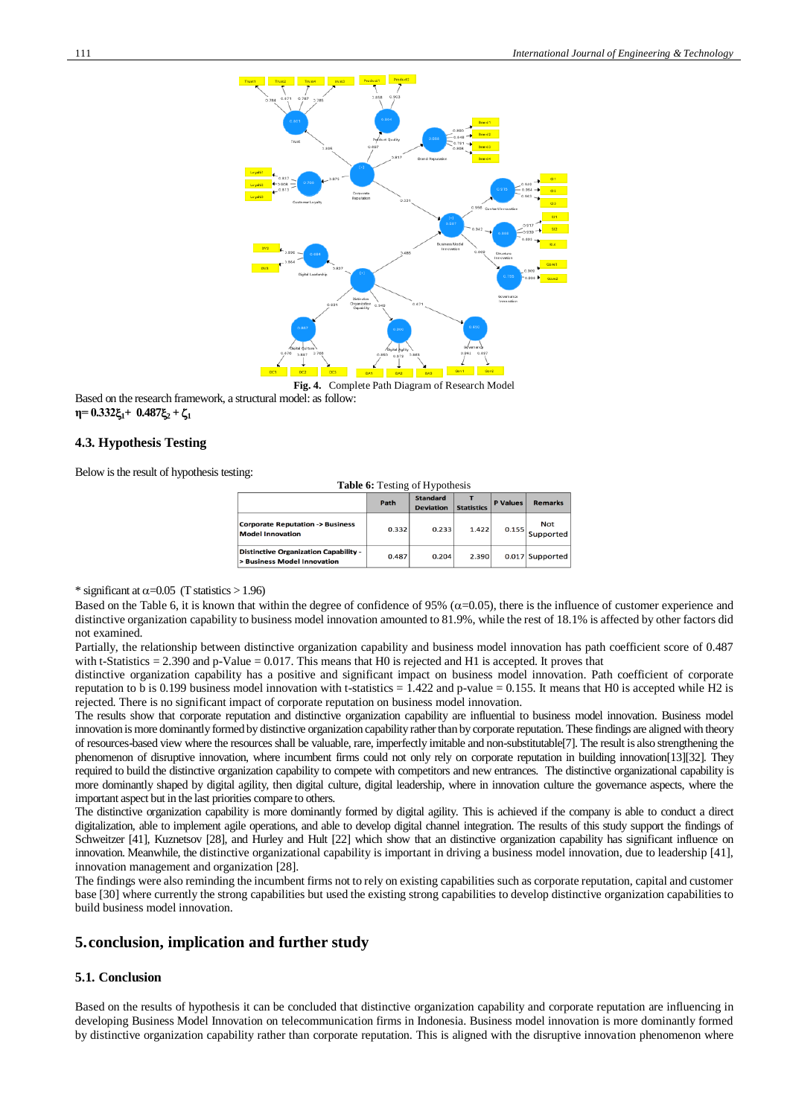

**Fig. 4.** Complete Path Diagram of Research Model

Based on the research framework, a structural model: as follow: **n**=  $0.332\xi_1 + 0.487\xi_2 + \zeta_1$ 

## **4.3. Hypothesis Testing**

Below is the result of hypothesis testing:

| <b>Table 6:</b> Testing of Hypothesis                                       |       |                                     |                   |                 |                         |  |  |
|-----------------------------------------------------------------------------|-------|-------------------------------------|-------------------|-----------------|-------------------------|--|--|
|                                                                             | Path  | <b>Standard</b><br><b>Deviation</b> | <b>Statistics</b> | <b>P</b> Values | <b>Remarks</b>          |  |  |
| <b>Corporate Reputation -&gt; Business</b><br><b>Model Innovation</b>       | 0.332 | 0.233                               | 1.422             | 0.155           | <b>Not</b><br>Supported |  |  |
| <b>Distinctive Organization Capability -</b><br>> Business Model Innovation | 0.487 | 0.204                               | 2.390             |                 | 0.017 Supported         |  |  |

\* significant at  $\alpha$ =0.05 (T statistics > 1.96)

Based on the Table 6, it is known that within the degree of confidence of 95% ( $\alpha$ =0.05), there is the influence of customer experience and distinctive organization capability to business model innovation amounted to 81.9%, while the rest of 18.1% is affected by other factors did not examined.

Partially, the relationship between distinctive organization capability and business model innovation has path coefficient score of 0.487 with t-Statistics  $= 2.390$  and p-Value  $= 0.017$ . This means that H0 is rejected and H1 is accepted. It proves that

distinctive organization capability has a positive and significant impact on business model innovation. Path coefficient of corporate reputation to b is 0.199 business model innovation with t-statistics =  $1.422$  and p-value = 0.155. It means that H0 is accepted while H2 is rejected. There is no significant impact of corporate reputation on business model innovation.

The results show that corporate reputation and distinctive organization capability are influential to business model innovation. Business model innovation is more dominantly formed by distinctive organization capability rather than by corporate reputation. These findings are aligned with theory of resources-based view where the resources shall be valuable, rare, imperfectly imitable and non-substitutabl[e\[7\].](#page-7-3) The result is also strengthening the phenomenon of disruptive innovation, where incumbent firms could not only rely on corporate reputation in building innovatio[n\[13\]\[32\].](#page-7-0) They required to build the distinctive organization capability to compete with competitors and new entrances. The distinctive organizational capability is more dominantly shaped by digital agility, then digital culture, digital leadership, where in innovation culture the governance aspects, where the important aspect but in the last priorities compare to others.

The distinctive organization capability is more dominantly formed by digital agility. This is achieved if the company is able to conduct a direct digitalization, able to implement agile operations, and able to develop digital channel integration. The results of this study support the findings of Schweitzer [\[41\],](#page-8-9) Kuznetsov [\[28\],](#page-7-31) and Hurley and Hult [\[22\]](#page-7-32) which show that an distinctive organization capability has significant influence on innovation. Meanwhile, the distinctive organizational capability is important in driving a business model innovation, due to leadershi[p \[41\],](#page-8-9)  innovation management and organization [\[28\].](#page-7-31)

The findings were also reminding the incumbent firms not to rely on existing capabilities such as corporate reputation, capital and customer base [\[30\]](#page-7-1) where currently the strong capabilities but used the existing strong capabilities to develop distinctive organization capabilities to build business model innovation.

## **5.conclusion, implication and further study**

## **5.1. Conclusion**

Based on the results of hypothesis it can be concluded that distinctive organization capability and corporate reputation are influencing in developing Business Model Innovation on telecommunication firms in Indonesia. Business model innovation is more dominantly formed by distinctive organization capability rather than corporate reputation. This is aligned with the disruptive innovation phenomenon where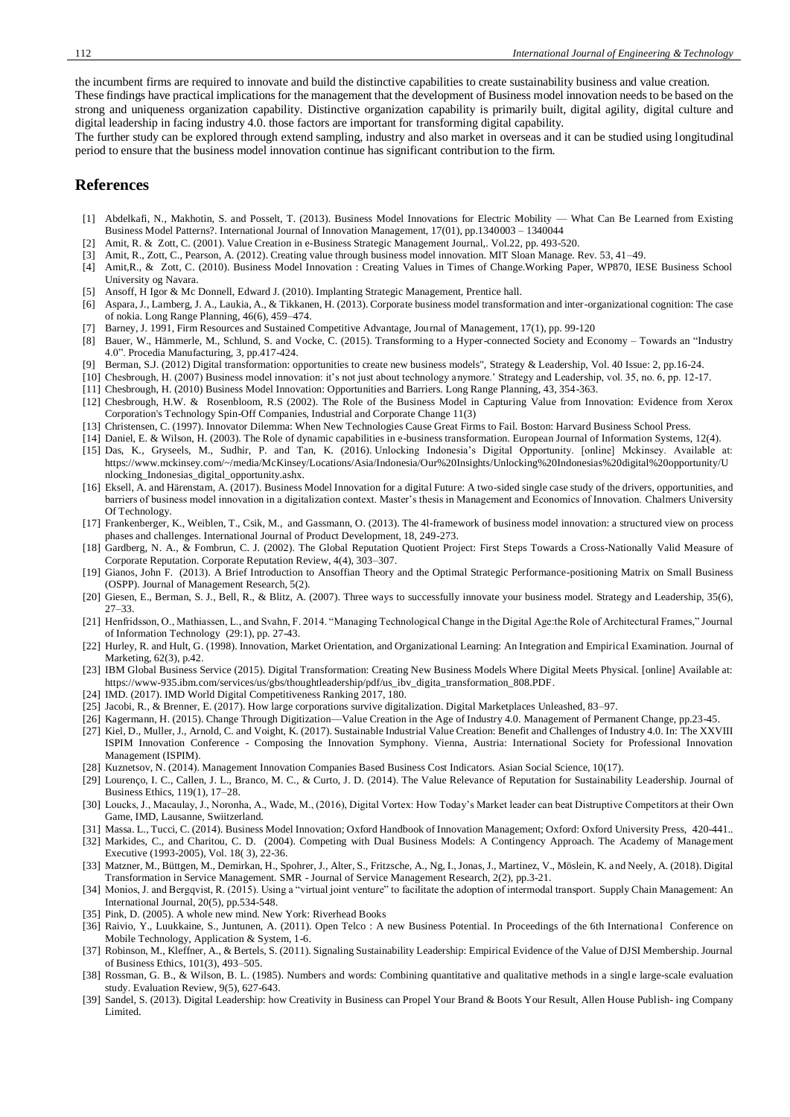the incumbent firms are required to innovate and build the distinctive capabilities to create sustainability business and value creation. These findings have practical implications for the management that the development of Business model innovation needs to be based on the strong and uniqueness organization capability. Distinctive organization capability is primarily built, digital agility, digital culture and digital leadership in facing industry 4.0. those factors are important for transforming digital capability.

The further study can be explored through extend sampling, industry and also market in overseas and it can be studied using longitudinal period to ensure that the business model innovation continue has significant contribution to the firm.

## **References**

- <span id="page-7-17"></span>[1] Abdelkafi, N., Makhotin, S. and Posselt, T. (2013). Business Model Innovations for Electric Mobility — What Can Be Learned from Existing Business Model Patterns?. International Journal of Innovation Management, 17(01), pp.1340003 – 1340044
- <span id="page-7-29"></span>[2] Amit, R. & Zott, C. (2001). Value Creation in e-Business Strategic Management Journal,. Vol.22, pp. 493-520.
- <span id="page-7-13"></span>[3] Amit, R., Zott, C., Pearson, A. (2012). Creating value through business model innovation. MIT Sloan Manage. Rev. 53, 41–49.
- <span id="page-7-28"></span>[4] Amit,R., & Zott, C. (2010). Business Model Innovation : Creating Values in Times of Change.Working Paper, WP870, IESE Business School University og Navara.
- <span id="page-7-23"></span>[5] Ansoff, H Igor & Mc Donnell, Edward J. (2010). Implanting Strategic Management, Prentice hall.
- <span id="page-7-30"></span>[6] Aspara, J., Lamberg, J. A., Laukia, A., & Tikkanen, H. (2013). Corporate business model transformation and inter-organizational cognition: The case of nokia. Long Range Planning, 46(6), 459–474.
- <span id="page-7-3"></span>[7] Barney, J. 1991, Firm Resources and Sustained Competitive Advantage, Journal of Management, 17(1), pp. 99-120
- <span id="page-7-6"></span>[8] Bauer, W., Hämmerle, M., Schlund, S. and Vocke, C. (2015). Transforming to a Hyper-connected Society and Economy – Towards an "Industry 4.0". Procedia Manufacturing, 3, pp.417-424.
- <span id="page-7-10"></span>[9] [Berman,](https://www.emeraldinsight.com/author/Berman%2C+Saul+J) S.J. (2012) Digital transformation: opportunities to create new business models", Strategy & Leadership, Vol. 40 Issue: 2, pp.16-24.
- <span id="page-7-19"></span>[10] Chesbrough, H. (2007) Business model innovation: it's not just about technology anymore.' Strategy and Leadership, vol. 35, no. 6, pp. 12-17.
- [11] Chesbrough, H. (2010) Business Model Innovation: Opportunities and Barriers. Long Range Planning, 43, 354-363.
- <span id="page-7-15"></span>[12] Chesbrough, H.W. & Rosenbloom, R.S (2002). The Role of the Business Model in Capturing Value from Innovation: Evidence from Xerox Corporation's Technology Spin-Off Companies, [Industrial and Corporate Change](https://www.researchgate.net/journal/1464-3650_Industrial_and_Corporate_Change) 11(3)
- <span id="page-7-0"></span>[13] Christensen, C. (1997). Innovator Dilemma: When New Technologies Cause Great Firms to Fail. Boston: Harvard Business School Press.
- [14] Daniel, E. & Wilson, H. (2003). The Role of dynamic capabilities in e-business transformation[. European Journal of Information Systems,](https://www.researchgate.net/journal/0960-085X_European_Journal_of_Information_Systems) 12(4).
- <span id="page-7-4"></span>[15] Das, K., Gryseels, M., Sudhir, P. and Tan, K. (2016). Unlocking Indonesia's Digital Opportunity. [online] Mckinsey. Available at: https://www.mckinsey.com/~/media/McKinsey/Locations/Asia/Indonesia/Our%20Insights/Unlocking%20Indonesias%20digital%20opportunity/U nlocking\_Indonesias\_digital\_opportunity.ashx.
- <span id="page-7-11"></span>[16] Eksell, A. and Härenstam, A. (2017). Business Model Innovation for a digital Future: A two-sided single case study of the drivers, opportunities, and barriers of business model innovation in a digitalization context. Master's thesis in Management and Economics of Innovation. Chalmers University Of Technology.
- <span id="page-7-27"></span>[17] Frankenberger, K., Weiblen, T., Csik, M., and Gassmann, O. (2013). The 4l-framework of business model innovation: a structured view on process phases and challenges. International Journal of Product Development, 18, 249-273.
- <span id="page-7-20"></span>[18] Gardberg, N. A., & Fombrun, C. J. (2002). The Global Reputation Quotient Project: First Steps Towards a Cross-Nationally Valid Measure of Corporate Reputation. Corporate Reputation Review, 4(4), 303–307.
- <span id="page-7-24"></span>[19] Gianos, John F. (2013). A Brief Introduction to Ansoffian Theory and the Optimal Strategic Performance-positioning Matrix on Small Business (OSPP). Journal of Management Research, 5(2).
- [20] Giesen, E., Berman, S. J., Bell, R., & Blitz, A. (2007). Three ways to successfully innovate your business model. Strategy and Leadership, 35(6), 27–33.
- <span id="page-7-16"></span>[21] Henfridsson, O., Mathiassen, L., and Svahn, F. 2014. "Managing Technological Change in the Digital Age:the Role of Architectural Frames," Journal of Information Technology (29:1), pp. 27-43.
- <span id="page-7-32"></span>[22] Hurley, R. and Hult, G. (1998). Innovation, Market Orientation, and Organizational Learning: An Integration and Empirical Examination. Journal of Marketing, 62(3), p.42.
- <span id="page-7-14"></span>[23] IBM Global Business Service (2015). Digital Transformation: Creating New Business Models Where Digital Meets Physical. [online] Available at: [https://www-935.ibm.com/services/us/gbs/thoughtleadership/pdf/us\\_ibv\\_digita\\_transformation\\_808.PDF.](https://www-935.ibm.com/services/us/gbs/thoughtleadership/pdf/us_ibv_digita_transformation_808.PDF)
- <span id="page-7-2"></span>[24] IMD. (2017). IMD World Digital Competitiveness Ranking 2017, 180.
- <span id="page-7-25"></span>[25] Jacobi, R., & Brenner, E. (2017). How large corporations survive digitalization. Digital Marketplaces Unleashed, 83–97.
- <span id="page-7-7"></span>[26] Kagermann, H. (2015). Change Through Digitization—Value Creation in the Age of Industry 4.0. Management of Permanent Change, pp.23-45.
- [27] Kiel, D., Muller, J., Arnold, C. and Voight, K. (2017). Sustainable Industrial Value Creation: Benefit and Challenges of Industry 4.0. In: The XXVIII ISPIM Innovation Conference - Composing the Innovation Symphony. Vienna, Austria: International Society for Professional Innovation Management (ISPIM).
- <span id="page-7-31"></span>[28] Kuznetsov, N. (2014). Management Innovation Companies Based Business Cost Indicators. Asian Social Science, 10(17).
- <span id="page-7-21"></span>[29] Lourenço, I. C., Callen, J. L., Branco, M. C., & Curto, J. D. (2014). The Value Relevance of Reputation for Sustainability Leadership. Journal of Business Ethics, 119(1), 17–28.
- <span id="page-7-1"></span>[30] Loucks, J., Macaulay, J., Noronha, A., Wade, M., (2016), Digital Vortex: How Today's Market leader can beat Distruptive Competitors at their Own Game, IMD, Lausanne, Swiitzerland.
- [31] Massa. L., Tucci, C. (2014). Business Model Innovation; Oxford Handbook of Innovation Management; Oxford: Oxford University Press, 420-441..
- <span id="page-7-33"></span><span id="page-7-18"></span>[32] Markides, C., and Charitou, C. D. (2004). Competing with Dual Business Models: A Contingency Approach. The Academy of Management Executive (1993-2005), Vol. 18( 3), 22-36.
- <span id="page-7-8"></span>[33] Matzner, M., Büttgen, M., Demirkan, H., Spohrer, J., Alter, S., Fritzsche, A., Ng, I., Jonas, J., Martinez, V., Möslein, K. and Neely, A. (2018). Digital Transformation in Service Management. SMR - Journal of Service Management Research, 2(2), pp.3-21.
- <span id="page-7-9"></span>[34] Monios, J. and Bergqvist, R. (2015). Using a "virtual joint venture" to facilitate the adoption of intermodal transport. Supply Chain Management: An International Journal, 20(5), pp.534-548.
- <span id="page-7-5"></span>[35] Pink, D. (2005). A whole new mind. New York: Riverhead Books
- <span id="page-7-12"></span>[36] Raivio, Y., Luukkaine, S., Juntunen, A. (2011). Open Telco : A new Business Potential. In Proceedings of the 6th International Conference on Mobile Technology, Application & System, 1-6.
- <span id="page-7-22"></span>[37] Robinson, M., Kleffner, A., & Bertels, S. (2011). Signaling Sustainability Leadership: Empirical Evidence of the Value of DJSI Membership. Journal of Business Ethics, 101(3), 493–505.
- [38] Rossman, G. B., & Wilson, B. L. (1985). Numbers and words: Combining quantitative and qualitative methods in a single large-scale evaluation study. Evaluation Review, 9(5), 627-643.
- <span id="page-7-26"></span>[39] Sandel, S. (2013). Digital Leadership: how Creativity in Business can Propel Your Brand & Boots Your Result, Allen House Publish- ing Company Limited.